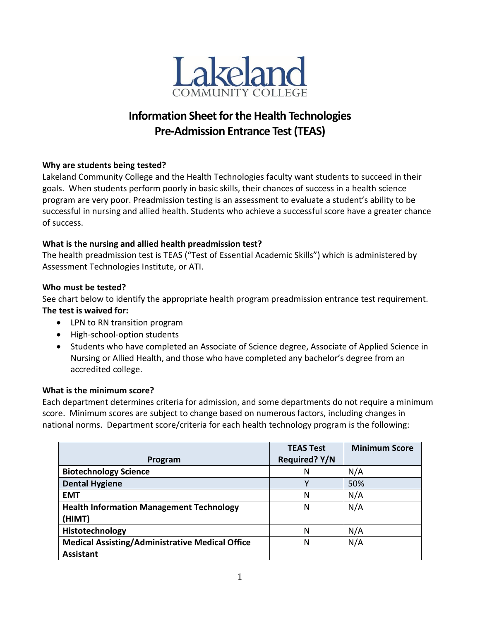

# **Information Sheet for the Health Technologies Pre-Admission Entrance Test(TEAS)**

# **Why are students being tested?**

Lakeland Community College and the Health Technologies faculty want students to succeed in their goals. When students perform poorly in basic skills, their chances of success in a health science program are very poor. Preadmission testing is an assessment to evaluate a student's ability to be successful in nursing and allied health. Students who achieve a successful score have a greater chance of success.

# **What is the nursing and allied health preadmission test?**

The health preadmission test is TEAS ("Test of Essential Academic Skills") which is administered by Assessment Technologies Institute, or ATI.

# **Who must be tested?**

See chart below to identify the appropriate health program preadmission entrance test requirement. **The test is waived for:**

- LPN to RN transition program
- High-school-option students
- Students who have completed an Associate of Science degree, Associate of Applied Science in Nursing or Allied Health, and those who have completed any bachelor's degree from an accredited college.

# **What is the minimum score?**

Each department determines criteria for admission, and some departments do not require a minimum score. Minimum scores are subject to change based on numerous factors, including changes in national norms. Department score/criteria for each health technology program is the following:

| Program                                                                    | <b>TEAS Test</b><br><b>Required? Y/N</b> | <b>Minimum Score</b> |
|----------------------------------------------------------------------------|------------------------------------------|----------------------|
| <b>Biotechnology Science</b>                                               | N                                        | N/A                  |
| <b>Dental Hygiene</b>                                                      |                                          | 50%                  |
| <b>EMT</b>                                                                 | N                                        | N/A                  |
| <b>Health Information Management Technology</b><br>(HIMT)                  | N                                        | N/A                  |
| Histotechnology                                                            | N                                        | N/A                  |
| <b>Medical Assisting/Administrative Medical Office</b><br><b>Assistant</b> | N                                        | N/A                  |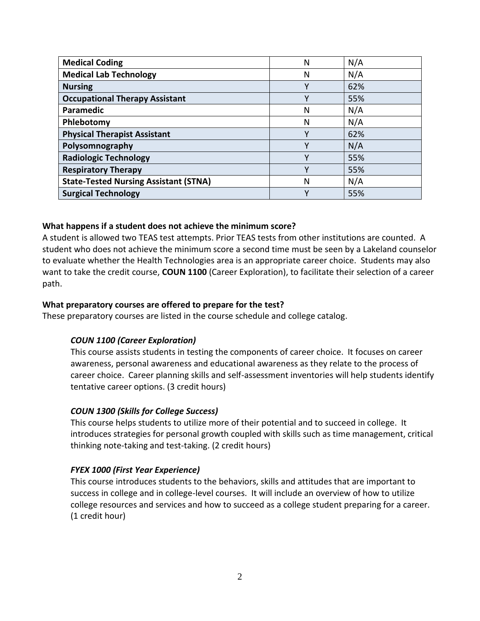| <b>Medical Coding</b>                        | N | N/A |
|----------------------------------------------|---|-----|
| <b>Medical Lab Technology</b>                | N | N/A |
| <b>Nursing</b>                               |   | 62% |
| <b>Occupational Therapy Assistant</b>        |   | 55% |
| Paramedic                                    | N | N/A |
| Phlebotomy                                   | N | N/A |
| <b>Physical Therapist Assistant</b>          | v | 62% |
| Polysomnography                              | v | N/A |
| <b>Radiologic Technology</b>                 | ۷ | 55% |
| <b>Respiratory Therapy</b>                   | v | 55% |
| <b>State-Tested Nursing Assistant (STNA)</b> | N | N/A |
| <b>Surgical Technology</b>                   | v | 55% |

## **What happens if a student does not achieve the minimum score?**

A student is allowed two TEAS test attempts. Prior TEAS tests from other institutions are counted. A student who does not achieve the minimum score a second time must be seen by a Lakeland counselor to evaluate whether the Health Technologies area is an appropriate career choice. Students may also want to take the credit course, **COUN 1100** (Career Exploration), to facilitate their selection of a career path.

#### **What preparatory courses are offered to prepare for the test?**

These preparatory courses are listed in the course schedule and college catalog.

## *COUN 1100 (Career Exploration)*

This course assists students in testing the components of career choice. It focuses on career awareness, personal awareness and educational awareness as they relate to the process of career choice. Career planning skills and self-assessment inventories will help students identify tentative career options. (3 credit hours)

## *COUN 1300 (Skills for College Success)*

This course helps students to utilize more of their potential and to succeed in college. It introduces strategies for personal growth coupled with skills such as time management, critical thinking note-taking and test-taking. (2 credit hours)

#### *FYEX 1000 (First Year Experience)*

This course introduces students to the behaviors, skills and attitudes that are important to success in college and in college-level courses. It will include an overview of how to utilize college resources and services and how to succeed as a college student preparing for a career. (1 credit hour)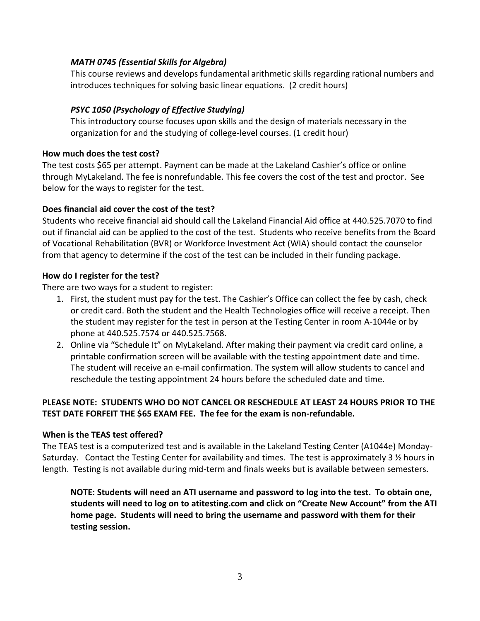# *MATH 0745 (Essential Skills for Algebra)*

This course reviews and develops fundamental arithmetic skills regarding rational numbers and introduces techniques for solving basic linear equations. (2 credit hours)

# *PSYC 1050 (Psychology of Effective Studying)*

This introductory course focuses upon skills and the design of materials necessary in the organization for and the studying of college-level courses. (1 credit hour)

## **How much does the test cost?**

The test costs \$65 per attempt. Payment can be made at the Lakeland Cashier's office or online through MyLakeland. The fee is nonrefundable. This fee covers the cost of the test and proctor. See below for the ways to register for the test.

# **Does financial aid cover the cost of the test?**

Students who receive financial aid should call the Lakeland Financial Aid office at 440.525.7070 to find out if financial aid can be applied to the cost of the test. Students who receive benefits from the Board of Vocational Rehabilitation (BVR) or Workforce Investment Act (WIA) should contact the counselor from that agency to determine if the cost of the test can be included in their funding package.

## **How do I register for the test?**

There are two ways for a student to register:

- 1. First, the student must pay for the test. The Cashier's Office can collect the fee by cash, check or credit card. Both the student and the Health Technologies office will receive a receipt. Then the student may register for the test in person at the Testing Center in room A-1044e or by phone at 440.525.7574 or 440.525.7568.
- 2. Online via "Schedule It" on MyLakeland. After making their payment via credit card online, a printable confirmation screen will be available with the testing appointment date and time. The student will receive an e-mail confirmation. The system will allow students to cancel and reschedule the testing appointment 24 hours before the scheduled date and time.

# **PLEASE NOTE: STUDENTS WHO DO NOT CANCEL OR RESCHEDULE AT LEAST 24 HOURS PRIOR TO THE TEST DATE FORFEIT THE \$65 EXAM FEE. The fee for the exam is non-refundable.**

## **When is the TEAS test offered?**

The TEAS test is a computerized test and is available in the Lakeland Testing Center (A1044e) Monday-Saturday. Contact the Testing Center for availability and times. The test is approximately 3 ½ hours in length. Testing is not available during mid-term and finals weeks but is available between semesters.

**NOTE: Students will need an ATI username and password to log into the test. To obtain one, students will need to log on to atitesting.com and click on "Create New Account" from the ATI home page. Students will need to bring the username and password with them for their testing session.**